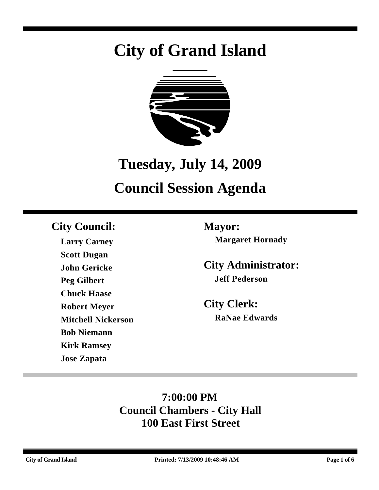# **City of Grand Island**



# **Tuesday, July 14, 2009**

# **Council Session Agenda**

# **City Council: Mayor:**

**Larry Carney Scott Dugan John Gericke Peg Gilbert Chuck Haase Robert Meyer Mitchell Nickerson Bob Niemann Kirk Ramsey Jose Zapata**

**Margaret Hornady**

**City Administrator: Jeff Pederson**

**City Clerk: RaNae Edwards**

# **7:00:00 PM Council Chambers - City Hall 100 East First Street**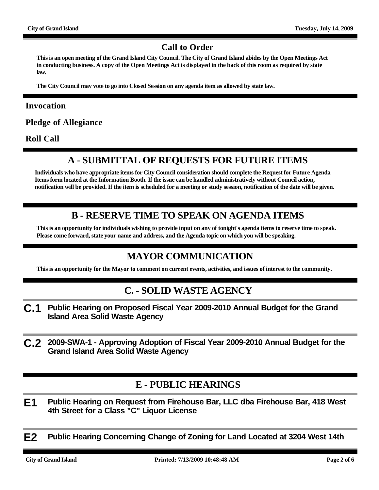#### **Call to Order**

**This is an open meeting of the Grand Island City Council. The City of Grand Island abides by the Open Meetings Act in conducting business. A copy of the Open Meetings Act is displayed in the back of this room as required by state law.**

**The City Council may vote to go into Closed Session on any agenda item as allowed by state law.**

#### **Invocation**

**Pledge of Allegiance**

**Roll Call**

# **A - SUBMITTAL OF REQUESTS FOR FUTURE ITEMS**

**Individuals who have appropriate items for City Council consideration should complete the Request for Future Agenda Items form located at the Information Booth. If the issue can be handled administratively without Council action, notification will be provided. If the item is scheduled for a meeting or study session, notification of the date will be given.**

### **B - RESERVE TIME TO SPEAK ON AGENDA ITEMS**

**This is an opportunity for individuals wishing to provide input on any of tonight's agenda items to reserve time to speak. Please come forward, state your name and address, and the Agenda topic on which you will be speaking.**

## **MAYOR COMMUNICATION**

**This is an opportunity for the Mayor to comment on current events, activities, and issues of interest to the community.**

#### **C. - SOLID WASTE AGENCY**

- **C.1 Public Hearing on Proposed Fiscal Year 2009-2010 Annual Budget for the Grand Island Area Solid Waste Agency**
- **C.2 2009-SWA-1 Approving Adoption of Fiscal Year 2009-2010 Annual Budget for the Grand Island Area Solid Waste Agency**

### **E - PUBLIC HEARINGS**

**E1 Public Hearing on Request from Firehouse Bar, LLC dba Firehouse Bar, 418 West 4th Street for a Class "C" Liquor License**

**E2 Public Hearing Concerning Change of Zoning for Land Located at 3204 West 14th**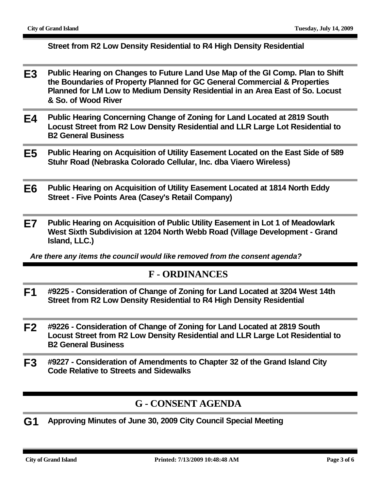#### **Street from R2 Low Density Residential to R4 High Density Residential**

- **E3 Public Hearing on Changes to Future Land Use Map of the GI Comp. Plan to Shift the Boundaries of Property Planned for GC General Commercial & Properties Planned for LM Low to Medium Density Residential in an Area East of So. Locust & So. of Wood River**
- **E4 Public Hearing Concerning Change of Zoning for Land Located at 2819 South Locust Street from R2 Low Density Residential and LLR Large Lot Residential to B2 General Business**
- **E5 Public Hearing on Acquisition of Utility Easement Located on the East Side of 589 Stuhr Road (Nebraska Colorado Cellular, Inc. dba Viaero Wireless)**
- **E6 Public Hearing on Acquisition of Utility Easement Located at 1814 North Eddy Street - Five Points Area (Casey's Retail Company)**
- **E7 Public Hearing on Acquisition of Public Utility Easement in Lot 1 of Meadowlark West Sixth Subdivision at 1204 North Webb Road (Village Development - Grand Island, LLC.)**

*Are there any items the council would like removed from the consent agenda?*

#### **F - ORDINANCES**

- **F1 #9225 Consideration of Change of Zoning for Land Located at 3204 West 14th Street from R2 Low Density Residential to R4 High Density Residential**
- **F2 #9226 Consideration of Change of Zoning for Land Located at 2819 South Locust Street from R2 Low Density Residential and LLR Large Lot Residential to B2 General Business**
- **F3 #9227 Consideration of Amendments to Chapter 32 of the Grand Island City Code Relative to Streets and Sidewalks**

### **G - CONSENT AGENDA**

**G1 Approving Minutes of June 30, 2009 City Council Special Meeting**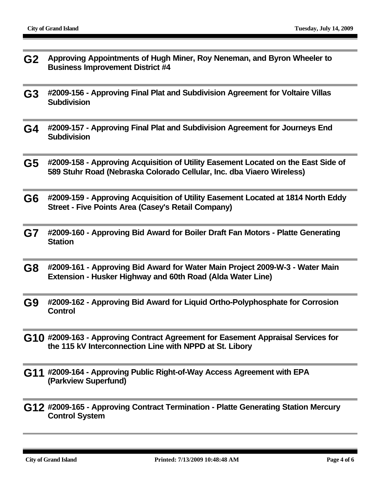- **G2 Approving Appointments of Hugh Miner, Roy Neneman, and Byron Wheeler to Business Improvement District #4**
- **G3 #2009-156 Approving Final Plat and Subdivision Agreement for Voltaire Villas Subdivision**
- **G4 #2009-157 Approving Final Plat and Subdivision Agreement for Journeys End Subdivision**
- **G5 #2009-158 Approving Acquisition of Utility Easement Located on the East Side of 589 Stuhr Road (Nebraska Colorado Cellular, Inc. dba Viaero Wireless)**
- **G6 #2009-159 Approving Acquisition of Utility Easement Located at 1814 North Eddy Street - Five Points Area (Casey's Retail Company)**
- **G7 #2009-160 Approving Bid Award for Boiler Draft Fan Motors Platte Generating Station**
- **G8 #2009-161 Approving Bid Award for Water Main Project 2009-W-3 Water Main Extension - Husker Highway and 60th Road (Alda Water Line)**
- **G9 #2009-162 Approving Bid Award for Liquid Ortho-Polyphosphate for Corrosion Control**
- **G10 #2009-163 Approving Contract Agreement for Easement Appraisal Services for the 115 kV Interconnection Line with NPPD at St. Libory**
- **G11 #2009-164 Approving Public Right-of-Way Access Agreement with EPA (Parkview Superfund)**
- **G12 #2009-165 Approving Contract Termination Platte Generating Station Mercury Control System**